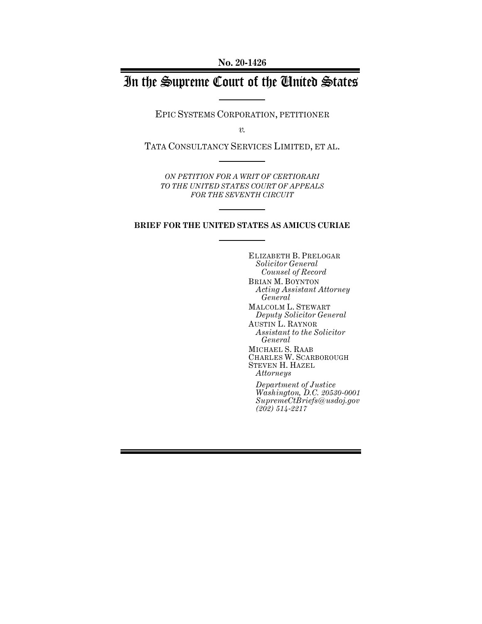**No. 20-1426**

# In the Supreme Court of the United States

EPIC SYSTEMS CORPORATION, PETITIONER

*v.*

TATA CONSULTANCY SERVICES LIMITED, ET AL.

*ON PETITION FOR A WRIT OF CERTIORARI TO THE UNITED STATES COURT OF APPEALS FOR THE SEVENTH CIRCUIT*

## **BRIEF FOR THE UNITED STATES AS AMICUS CURIAE**

ELIZABETH B. PRELOGAR *Solicitor General Counsel of Record* BRIAN M. BOYNTON *Acting Assistant Attorney General* MALCOLM L. STEWART *Deputy Solicitor General* AUSTIN L. RAYNOR *Assistant to the Solicitor General* MICHAEL S. RAAB CHARLES W. SCARBOROUGH STEVEN H. HAZEL *Attorneys Department of Justice*

*Washington, D.C. 20530-0001 SupremeCtBriefs@usdoj.gov (202) 514-2217*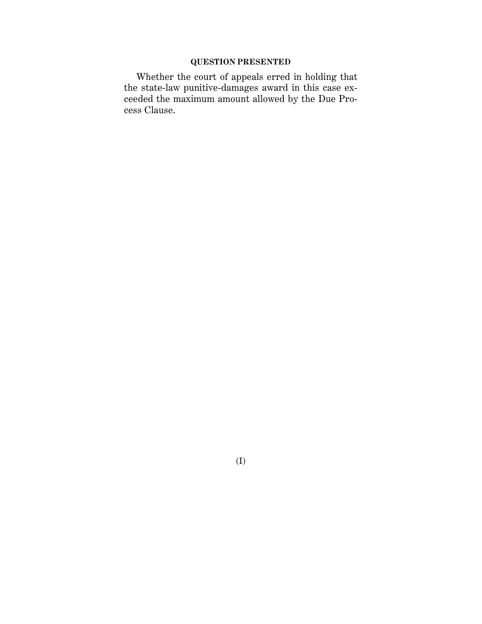# **QUESTION PRESENTED**

Whether the court of appeals erred in holding that the state-law punitive-damages award in this case exceeded the maximum amount allowed by the Due Process Clause.

(I)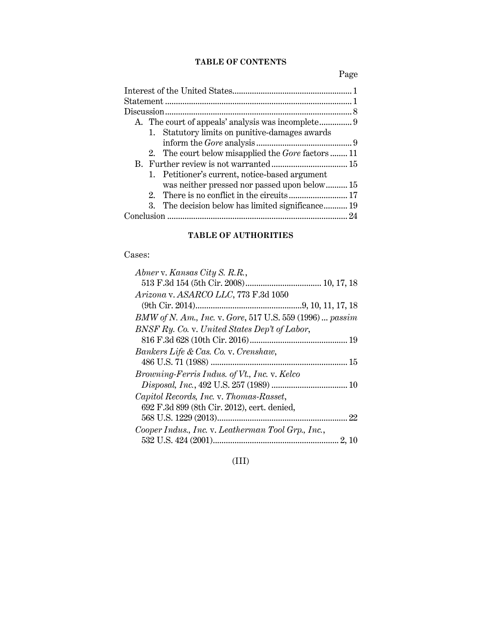# **TABLE OF CONTENTS**

Page

| A. The court of appeals' analysis was incomplete 9        |    |
|-----------------------------------------------------------|----|
| 1. Statutory limits on punitive-damages awards            |    |
|                                                           |    |
| 2. The court below misapplied the <i>Gore</i> factors  11 |    |
|                                                           |    |
| 1. Petitioner's current, notice-based argument            |    |
| was neither pressed nor passed upon below 15              |    |
|                                                           |    |
| 3. The decision below has limited significance 19         |    |
|                                                           | 24 |
|                                                           |    |

# **TABLE OF AUTHORITIES**

# Cases:

| Abner v. Kansas City S. R.R.,                            |
|----------------------------------------------------------|
|                                                          |
| Arizona v. ASARCO LLC, 773 F.3d 1050                     |
|                                                          |
| BMW of N. Am., Inc. v. Gore, 517 U.S. 559 (1996)  passim |
| BNSF Ry. Co. v. United States Dep't of Labor,            |
|                                                          |
| Bankers Life & Cas. Co. v. Crenshaw,                     |
|                                                          |
| Browning-Ferris Indus. of Vt., Inc. v. Kelco             |
|                                                          |
| Capitol Records, Inc. v. Thomas-Rasset,                  |
| 692 F.3d 899 (8th Cir. 2012), cert. denied,              |
|                                                          |
| Cooper Indus., Inc. v. Leatherman Tool Grp., Inc.,       |
|                                                          |

(III)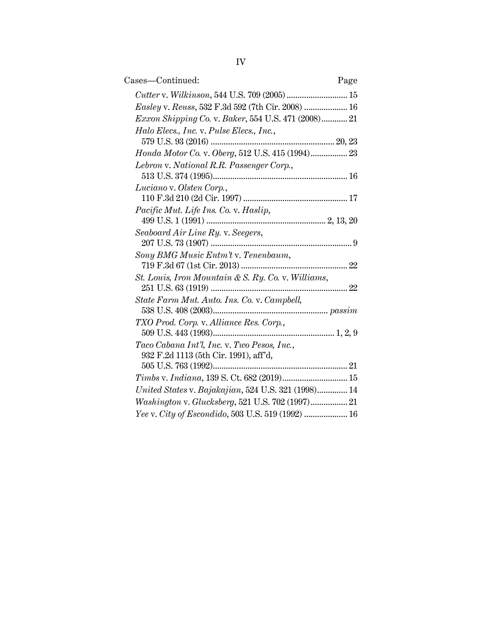| Cases-Continued:                                                                    | Page |
|-------------------------------------------------------------------------------------|------|
| Cutter v. Wilkinson, 544 U.S. 709 (2005)  15                                        |      |
| Easley v. Reuss, 532 F.3d 592 (7th Cir. 2008)  16                                   |      |
| Exxon Shipping Co. v. Baker, 554 U.S. 471 (2008) 21                                 |      |
| Halo Elecs., Inc. v. Pulse Elecs., Inc.,                                            |      |
|                                                                                     |      |
| Honda Motor Co. v. Oberg, 512 U.S. 415 (1994) 23                                    |      |
| Lebron v. National R.R. Passenger Corp.,                                            |      |
|                                                                                     |      |
| Luciano v. Olsten Corp.,                                                            |      |
|                                                                                     |      |
| Pacific Mut. Life Ins. Co. v. Haslip,                                               |      |
|                                                                                     |      |
| Seaboard Air Line Ry. v. Seegers,                                                   |      |
|                                                                                     |      |
| Sony BMG Music Entm't v. Tenenbaum,                                                 |      |
|                                                                                     |      |
| St. Louis, Iron Mountain & S. Ry. Co. v. Williams,                                  |      |
| State Farm Mut. Auto. Ins. Co. v. Campbell,                                         |      |
|                                                                                     |      |
| TXO Prod. Corp. v. Alliance Res. Corp.,                                             |      |
|                                                                                     |      |
| Taco Cabana Int'l, Inc. v. Two Pesos, Inc.,                                         |      |
| 932 F.2d 1113 (5th Cir. 1991), aff'd,                                               |      |
|                                                                                     |      |
| $\label{eq:3.1} Timbs \text{ v.} \; Indiana, 139 \; \text{S. Ct. 682 (2019)} \; 15$ |      |
| United States v. Bajakajian, 524 U.S. 321 (1998) 14                                 |      |
|                                                                                     |      |
| Yee v. City of Escondido, 503 U.S. 519 (1992)  16                                   |      |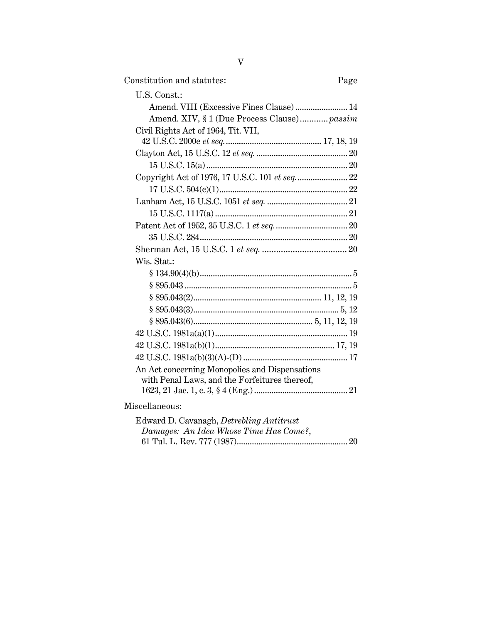|--|

| U.S. Const.:                                   |  |
|------------------------------------------------|--|
| Amend. VIII (Excessive Fines Clause) 14        |  |
| Amend. XIV, § 1 (Due Process Clause) passim    |  |
| Civil Rights Act of 1964, Tit. VII,            |  |
|                                                |  |
|                                                |  |
|                                                |  |
| Copyright Act of 1976, 17 U.S.C. 101 et seq 22 |  |
|                                                |  |
|                                                |  |
|                                                |  |
|                                                |  |
|                                                |  |
|                                                |  |
| Wis. Stat.:                                    |  |
|                                                |  |
|                                                |  |
|                                                |  |
|                                                |  |
|                                                |  |
|                                                |  |
|                                                |  |
|                                                |  |
| An Act concerning Monopolies and Dispensations |  |
| with Penal Laws, and the Forfeitures thereof,  |  |
|                                                |  |
| Miscellaneous:                                 |  |
| .                                              |  |

| Edward D. Cavanagh, <i>Detrebling Antitrust</i> |  |
|-------------------------------------------------|--|
| Damages: An Idea Whose Time Has Come?,          |  |
|                                                 |  |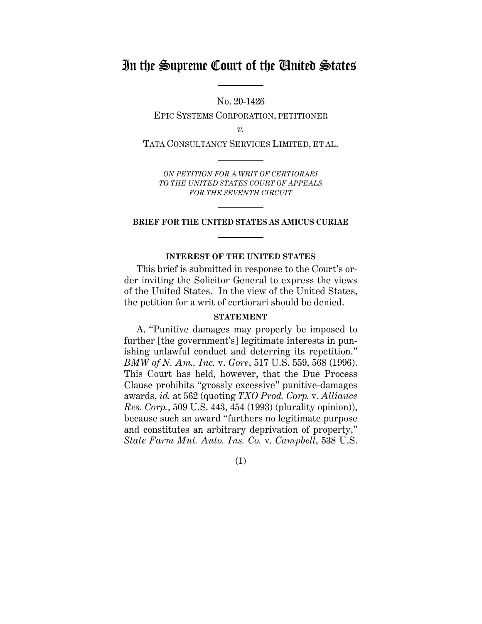# In the Supreme Court of the United States

No. 20-1426

EPIC SYSTEMS CORPORATION, PETITIONER

*v.*

TATA CONSULTANCY SERVICES LIMITED, ET AL.

*ON PETITION FOR A WRIT OF CERTIORARI TO THE UNITED STATES COURT OF APPEALS FOR THE SEVENTH CIRCUIT*

### **BRIEF FOR THE UNITED STATES AS AMICUS CURIAE**

### **INTEREST OF THE UNITED STATES**

This brief is submitted in response to the Court's order inviting the Solicitor General to express the views of the United States. In the view of the United States, the petition for a writ of certiorari should be denied.

# **STATEMENT**

A. "Punitive damages may properly be imposed to further [the government's] legitimate interests in punishing unlawful conduct and deterring its repetition." *BMW of N. Am., Inc.* v. *Gore*, 517 U.S. 559, 568 (1996). This Court has held, however, that the Due Process Clause prohibits "grossly excessive" punitive-damages awards, *id.* at 562 (quoting *TXO Prod. Corp.* v. *Alliance Res. Corp.*, 509 U.S. 443, 454 (1993) (plurality opinion)), because such an award "furthers no legitimate purpose and constitutes an arbitrary deprivation of property," *State Farm Mut. Auto. Ins. Co.* v. *Campbell*, 538 U.S.

(1)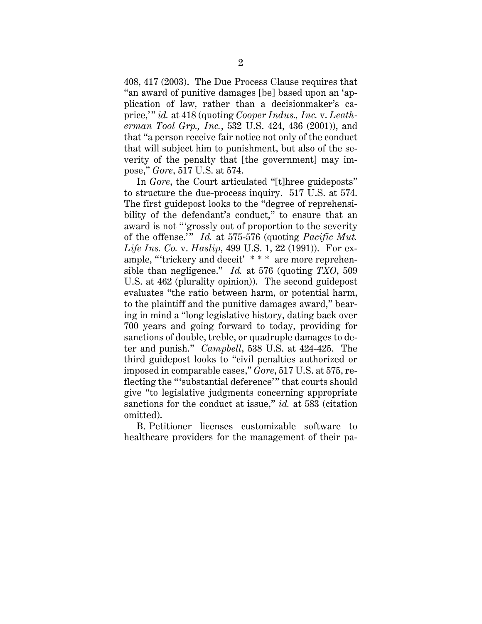408, 417 (2003). The Due Process Clause requires that "an award of punitive damages [be] based upon an 'application of law, rather than a decisionmaker's caprice,' " *id.* at 418 (quoting *Cooper Indus., Inc.* v. *Leatherman Tool Grp., Inc.*, 532 U.S. 424, 436 (2001)), and that "a person receive fair notice not only of the conduct that will subject him to punishment, but also of the severity of the penalty that [the government] may impose," *Gore*, 517 U.S. at 574.

In *Gore*, the Court articulated "[t]hree guideposts" to structure the due-process inquiry. 517 U.S. at 574. The first guidepost looks to the "degree of reprehensibility of the defendant's conduct," to ensure that an award is not "'grossly out of proportion to the severity of the offense.'" *Id.* at 575-576 (quoting *Pacific Mut. Life Ins. Co.* v. *Haslip*, 499 U.S. 1, 22 (1991)). For example, "'trickery and deceit' \* \* \* are more reprehensible than negligence." *Id.* at 576 (quoting *TXO*, 509 U.S. at 462 (plurality opinion)). The second guidepost evaluates "the ratio between harm, or potential harm, to the plaintiff and the punitive damages award," bearing in mind a "long legislative history, dating back over 700 years and going forward to today, providing for sanctions of double, treble, or quadruple damages to deter and punish." *Campbell*, 538 U.S. at 424-425. The third guidepost looks to "civil penalties authorized or imposed in comparable cases," *Gore*, 517 U.S. at 575, reflecting the "'substantial deference' " that courts should give "to legislative judgments concerning appropriate sanctions for the conduct at issue," *id.* at 583 (citation omitted).

B. Petitioner licenses customizable software to healthcare providers for the management of their pa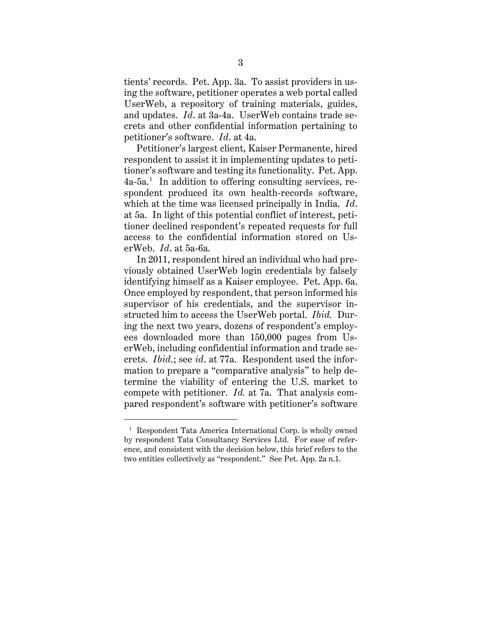tients' records. Pet. App. 3a. To assist providers in using the software, petitioner operates a web portal called UserWeb, a repository of training materials, guides, and updates. *Id*. at 3a-4a. UserWeb contains trade secrets and other confidential information pertaining to petitioner's software. *Id*. at 4a.

Petitioner's largest client, Kaiser Permanente, hired respondent to assist it in implementing updates to petitioner's software and testing its functionality. Pet. App. 4a-5a. 1 In addition to offering consulting services, respondent produced its own health-records software, which at the time was licensed principally in India. *Id*. at 5a. In light of this potential conflict of interest, petitioner declined respondent's repeated requests for full access to the confidential information stored on UserWeb. *Id*. at 5a-6a.

In 2011, respondent hired an individual who had previously obtained UserWeb login credentials by falsely identifying himself as a Kaiser employee. Pet. App. 6a. Once employed by respondent, that person informed his supervisor of his credentials, and the supervisor instructed him to access the UserWeb portal. *Ibid.* During the next two years, dozens of respondent's employees downloaded more than 150,000 pages from UserWeb, including confidential information and trade secrets. *Ibid*.; see *id*. at 77a. Respondent used the information to prepare a "comparative analysis" to help determine the viability of entering the U.S. market to compete with petitioner. *Id.* at 7a. That analysis compared respondent's software with petitioner's software

<sup>&</sup>lt;sup>1</sup> Respondent Tata America International Corp. is wholly owned by respondent Tata Consultancy Services Ltd. For ease of reference, and consistent with the decision below, this brief refers to the two entities collectively as "respondent." See Pet. App. 2a n.1.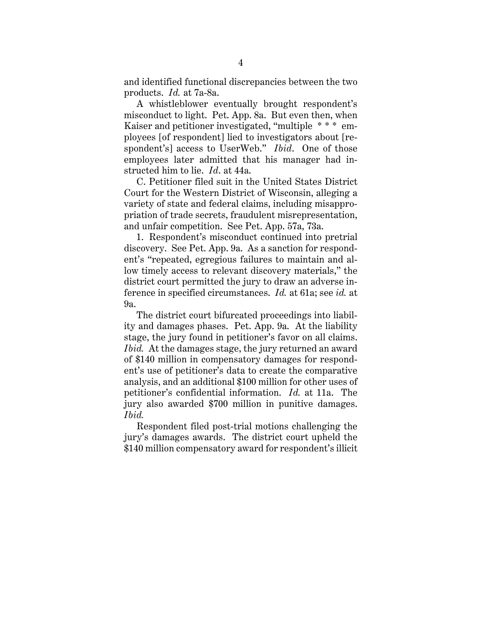and identified functional discrepancies between the two products. *Id.* at 7a-8a.

A whistleblower eventually brought respondent's misconduct to light. Pet. App. 8a. But even then, when Kaiser and petitioner investigated, "multiple \* \* \* employees [of respondent] lied to investigators about [respondent's] access to UserWeb." *Ibid*. One of those employees later admitted that his manager had instructed him to lie. *Id*. at 44a.

 C. Petitioner filed suit in the United States District Court for the Western District of Wisconsin, alleging a variety of state and federal claims, including misappropriation of trade secrets, fraudulent misrepresentation, and unfair competition. See Pet. App. 57a, 73a.

1. Respondent's misconduct continued into pretrial discovery. See Pet. App. 9a. As a sanction for respondent's "repeated, egregious failures to maintain and allow timely access to relevant discovery materials," the district court permitted the jury to draw an adverse inference in specified circumstances. *Id.* at 61a; see *id.* at 9a.

The district court bifurcated proceedings into liability and damages phases. Pet. App. 9a. At the liability stage, the jury found in petitioner's favor on all claims. *Ibid.* At the damages stage, the jury returned an award of \$140 million in compensatory damages for respondent's use of petitioner's data to create the comparative analysis, and an additional \$100 million for other uses of petitioner's confidential information. *Id.* at 11a. The jury also awarded \$700 million in punitive damages. *Ibid.*

Respondent filed post-trial motions challenging the jury's damages awards. The district court upheld the \$140 million compensatory award for respondent's illicit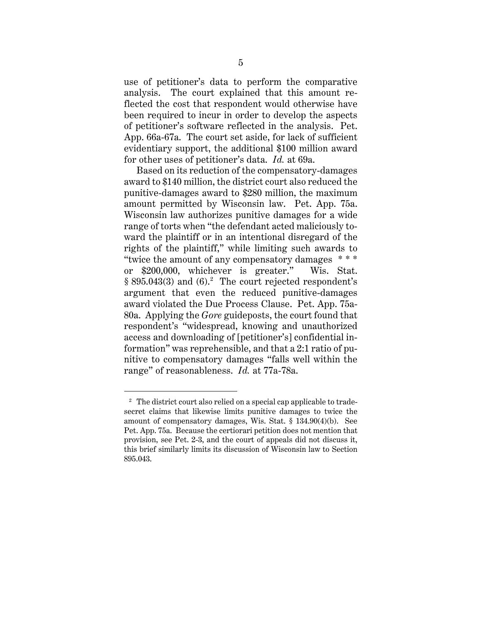use of petitioner's data to perform the comparative analysis. The court explained that this amount reflected the cost that respondent would otherwise have been required to incur in order to develop the aspects of petitioner's software reflected in the analysis. Pet. App. 66a-67a. The court set aside, for lack of sufficient evidentiary support, the additional \$100 million award for other uses of petitioner's data. *Id.* at 69a.

Based on its reduction of the compensatory-damages award to \$140 million, the district court also reduced the punitive-damages award to \$280 million, the maximum amount permitted by Wisconsin law. Pet. App. 75a. Wisconsin law authorizes punitive damages for a wide range of torts when "the defendant acted maliciously toward the plaintiff or in an intentional disregard of the rights of the plaintiff," while limiting such awards to "twice the amount of any compensatory damages \* \* \* or \$200,000, whichever is greater." Wis. Stat. § 895.043(3) and (6).<sup>2</sup> The court rejected respondent's argument that even the reduced punitive-damages award violated the Due Process Clause. Pet. App. 75a-80a. Applying the *Gore* guideposts, the court found that respondent's "widespread, knowing and unauthorized access and downloading of [petitioner's] confidential information" was reprehensible, and that a 2:1 ratio of punitive to compensatory damages "falls well within the range" of reasonableness. *Id.* at 77a-78a.

<sup>&</sup>lt;sup>2</sup> The district court also relied on a special cap applicable to tradesecret claims that likewise limits punitive damages to twice the amount of compensatory damages, Wis. Stat. § 134.90(4)(b). See Pet. App. 75a. Because the certiorari petition does not mention that provision, see Pet. 2-3, and the court of appeals did not discuss it, this brief similarly limits its discussion of Wisconsin law to Section 895.043.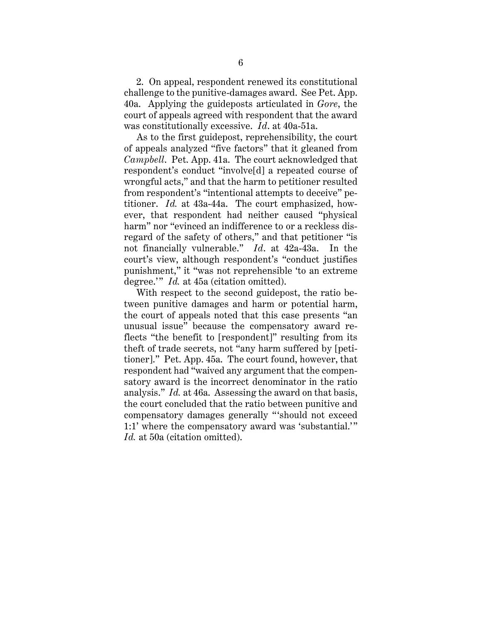2. On appeal, respondent renewed its constitutional challenge to the punitive-damages award. See Pet. App. 40a. Applying the guideposts articulated in *Gore*, the court of appeals agreed with respondent that the award was constitutionally excessive. *Id*. at 40a-51a.

As to the first guidepost, reprehensibility, the court of appeals analyzed "five factors" that it gleaned from *Campbell*. Pet. App. 41a. The court acknowledged that respondent's conduct "involve[d] a repeated course of wrongful acts," and that the harm to petitioner resulted from respondent's "intentional attempts to deceive" petitioner. *Id.* at 43a-44a. The court emphasized, however, that respondent had neither caused "physical harm" nor "evinced an indifference to or a reckless disregard of the safety of others," and that petitioner "is not financially vulnerable." *Id*. at 42a-43a. In the court's view, although respondent's "conduct justifies punishment," it "was not reprehensible 'to an extreme degree.'" *Id.* at 45a (citation omitted).

With respect to the second guidepost, the ratio between punitive damages and harm or potential harm, the court of appeals noted that this case presents "an unusual issue" because the compensatory award reflects "the benefit to [respondent]" resulting from its theft of trade secrets, not "any harm suffered by [petitioner]." Pet. App. 45a. The court found, however, that respondent had "waived any argument that the compensatory award is the incorrect denominator in the ratio analysis." *Id.* at 46a. Assessing the award on that basis, the court concluded that the ratio between punitive and compensatory damages generally " 'should not exceed 1:1' where the compensatory award was 'substantial.'" *Id.* at 50a (citation omitted).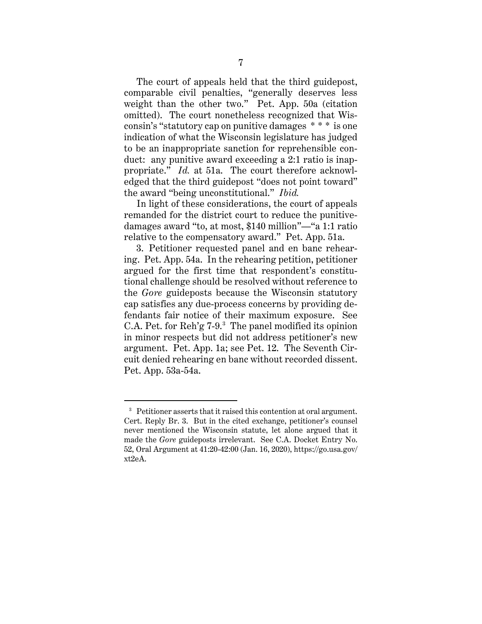The court of appeals held that the third guidepost, comparable civil penalties, "generally deserves less weight than the other two." Pet. App. 50a (citation omitted). The court nonetheless recognized that Wisconsin's "statutory cap on punitive damages \* \* \* is one indication of what the Wisconsin legislature has judged to be an inappropriate sanction for reprehensible conduct: any punitive award exceeding a 2:1 ratio is inappropriate." *Id.* at 51a. The court therefore acknowledged that the third guidepost "does not point toward" the award "being unconstitutional." *Ibid.*

In light of these considerations, the court of appeals remanded for the district court to reduce the punitivedamages award "to, at most, \$140 million"—"a 1:1 ratio relative to the compensatory award." Pet. App. 51a.

3. Petitioner requested panel and en banc rehearing. Pet. App. 54a. In the rehearing petition, petitioner argued for the first time that respondent's constitutional challenge should be resolved without reference to the *Gore* guideposts because the Wisconsin statutory cap satisfies any due-process concerns by providing defendants fair notice of their maximum exposure. See C.A. Pet. for  $\text{Reh}'g$  7-9. $^3$  The panel modified its opinion in minor respects but did not address petitioner's new argument. Pet. App. 1a; see Pet. 12. The Seventh Circuit denied rehearing en banc without recorded dissent. Pet. App. 53a-54a.

<sup>&</sup>lt;sup>3</sup> Petitioner asserts that it raised this contention at oral argument. Cert. Reply Br. 3. But in the cited exchange, petitioner's counsel never mentioned the Wisconsin statute, let alone argued that it made the *Gore* guideposts irrelevant. See C.A. Docket Entry No. 52, Oral Argument at 41:20-42:00 (Jan. 16, 2020), https://go.usa.gov/ xt2eA.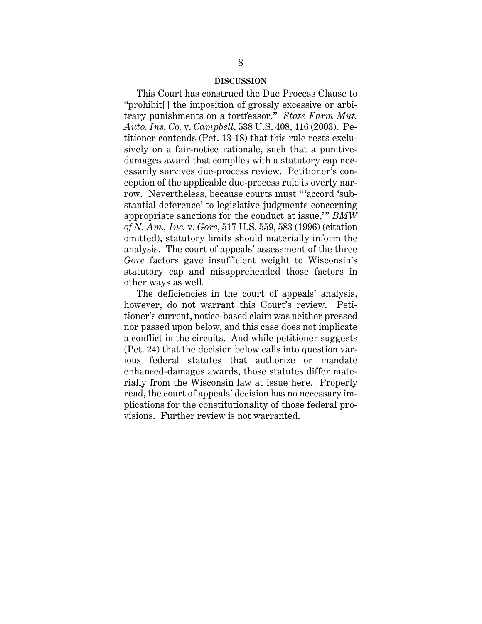#### **DISCUSSION**

This Court has construed the Due Process Clause to "prohibit[] the imposition of grossly excessive or arbitrary punishments on a tortfeasor." *State Farm Mut. Auto. Ins. Co.* v. *Campbell*, 538 U.S. 408, 416 (2003). Petitioner contends (Pet. 13-18) that this rule rests exclusively on a fair-notice rationale, such that a punitivedamages award that complies with a statutory cap necessarily survives due-process review. Petitioner's conception of the applicable due-process rule is overly narrow. Nevertheless, because courts must " 'accord 'substantial deference' to legislative judgments concerning appropriate sanctions for the conduct at issue," *BMW of N. Am., Inc.* v. *Gore*, 517 U.S. 559, 583 (1996) (citation omitted), statutory limits should materially inform the analysis. The court of appeals' assessment of the three *Gore* factors gave insufficient weight to Wisconsin's statutory cap and misapprehended those factors in other ways as well.

The deficiencies in the court of appeals' analysis, however, do not warrant this Court's review. Petitioner's current, notice-based claim was neither pressed nor passed upon below, and this case does not implicate a conflict in the circuits. And while petitioner suggests (Pet. 24) that the decision below calls into question various federal statutes that authorize or mandate enhanced-damages awards, those statutes differ materially from the Wisconsin law at issue here. Properly read, the court of appeals' decision has no necessary implications for the constitutionality of those federal provisions. Further review is not warranted.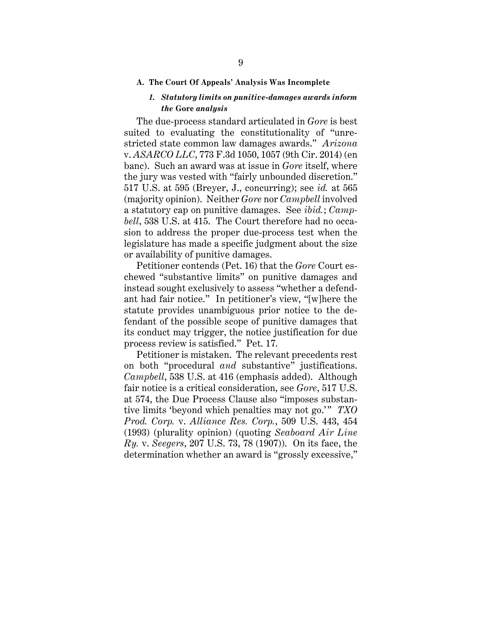#### **A. The Court Of Appeals' Analysis Was Incomplete**

### *1. Statutory limits on punitive-damages awards inform the* **Gore** *analysis*

The due-process standard articulated in *Gore* is best suited to evaluating the constitutionality of "unrestricted state common law damages awards." *Arizona*  v. *ASARCO LLC*, 773 F.3d 1050, 1057 (9th Cir. 2014) (en banc). Such an award was at issue in *Gore* itself, where the jury was vested with "fairly unbounded discretion." 517 U.S. at 595 (Breyer, J., concurring); see *id.* at 565 (majority opinion). Neither *Gore* nor *Campbell* involved a statutory cap on punitive damages. See *ibid.*; *Campbell*, 538 U.S. at 415. The Court therefore had no occasion to address the proper due-process test when the legislature has made a specific judgment about the size or availability of punitive damages.

Petitioner contends (Pet. 16) that the *Gore* Court eschewed "substantive limits" on punitive damages and instead sought exclusively to assess "whether a defendant had fair notice." In petitioner's view, "[w]here the statute provides unambiguous prior notice to the defendant of the possible scope of punitive damages that its conduct may trigger, the notice justification for due process review is satisfied." Pet. 17.

Petitioner is mistaken. The relevant precedents rest on both "procedural *and* substantive" justifications. *Campbell*, 538 U.S. at 416 (emphasis added). Although fair notice is a critical consideration, see *Gore*, 517 U.S. at 574, the Due Process Clause also "imposes substantive limits 'beyond which penalties may not go.'" TXO *Prod. Corp.* v. *Alliance Res. Corp.*, 509 U.S. 443, 454 (1993) (plurality opinion) (quoting *Seaboard Air Line Ry.* v. *Seegers*, 207 U.S. 73, 78 (1907)). On its face, the determination whether an award is "grossly excessive,"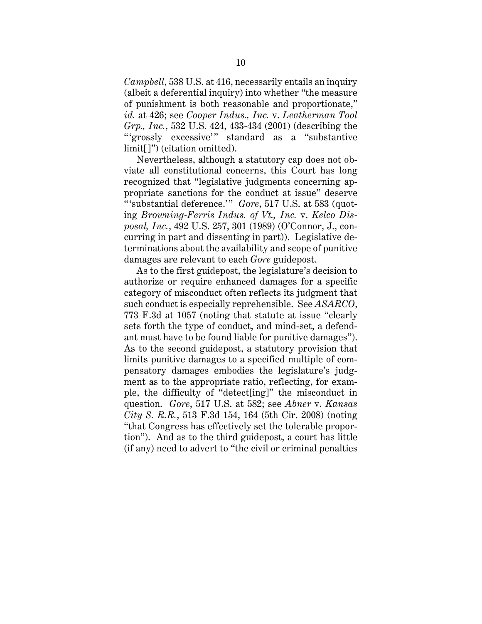*Campbell*, 538 U.S. at 416, necessarily entails an inquiry (albeit a deferential inquiry) into whether "the measure of punishment is both reasonable and proportionate," *id.* at 426; see *Cooper Indus., Inc.* v. *Leatherman Tool Grp., Inc.*, 532 U.S. 424, 433-434 (2001) (describing the "'grossly excessive'" standard as a "substantive limit[]") (citation omitted).

Nevertheless, although a statutory cap does not obviate all constitutional concerns, this Court has long recognized that "legislative judgments concerning appropriate sanctions for the conduct at issue" deserve "'substantial deference.'" *Gore*, 517 U.S. at 583 (quoting *Browning-Ferris Indus. of Vt., Inc.* v. *Kelco Disposal, Inc.*, 492 U.S. 257, 301 (1989) (O'Connor, J., concurring in part and dissenting in part)). Legislative determinations about the availability and scope of punitive damages are relevant to each *Gore* guidepost.

As to the first guidepost, the legislature's decision to authorize or require enhanced damages for a specific category of misconduct often reflects its judgment that such conduct is especially reprehensible. See *ASARCO*, 773 F.3d at 1057 (noting that statute at issue "clearly sets forth the type of conduct, and mind-set, a defendant must have to be found liable for punitive damages"). As to the second guidepost, a statutory provision that limits punitive damages to a specified multiple of compensatory damages embodies the legislature's judgment as to the appropriate ratio, reflecting, for example, the difficulty of "detect[ing]" the misconduct in question. *Gore*, 517 U.S. at 582; see *Abner* v. *Kansas City S. R.R.*, 513 F.3d 154, 164 (5th Cir. 2008) (noting "that Congress has effectively set the tolerable proportion"). And as to the third guidepost, a court has little (if any) need to advert to "the civil or criminal penalties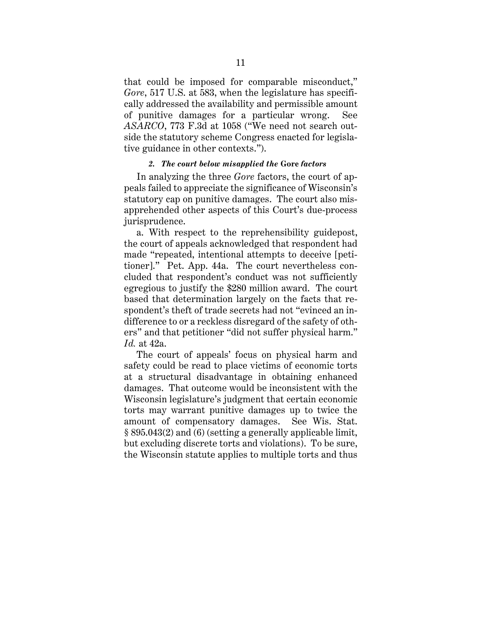that could be imposed for comparable misconduct," *Gore*, 517 U.S. at 583, when the legislature has specifically addressed the availability and permissible amount of punitive damages for a particular wrong. See *ASARCO*, 773 F.3d at 1058 ("We need not search outside the statutory scheme Congress enacted for legislative guidance in other contexts.").

### *2. The court below misapplied the* **Gore** *factors*

In analyzing the three *Gore* factors, the court of appeals failed to appreciate the significance of Wisconsin's statutory cap on punitive damages. The court also misapprehended other aspects of this Court's due-process jurisprudence.

a. With respect to the reprehensibility guidepost, the court of appeals acknowledged that respondent had made "repeated, intentional attempts to deceive [petitioner]." Pet. App. 44a. The court nevertheless concluded that respondent's conduct was not sufficiently egregious to justify the \$280 million award. The court based that determination largely on the facts that respondent's theft of trade secrets had not "evinced an indifference to or a reckless disregard of the safety of others" and that petitioner "did not suffer physical harm." *Id.* at 42a.

The court of appeals' focus on physical harm and safety could be read to place victims of economic torts at a structural disadvantage in obtaining enhanced damages. That outcome would be inconsistent with the Wisconsin legislature's judgment that certain economic torts may warrant punitive damages up to twice the amount of compensatory damages. See Wis. Stat. § 895.043(2) and (6) (setting a generally applicable limit, but excluding discrete torts and violations). To be sure, the Wisconsin statute applies to multiple torts and thus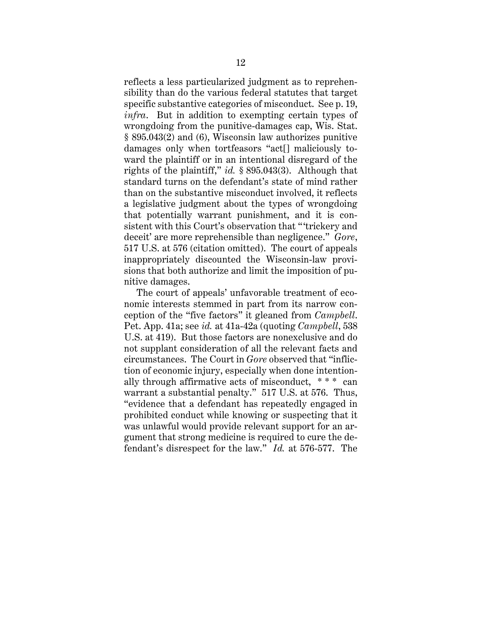reflects a less particularized judgment as to reprehensibility than do the various federal statutes that target specific substantive categories of misconduct. See p. 19, *infra*. But in addition to exempting certain types of wrongdoing from the punitive-damages cap, Wis. Stat. § 895.043(2) and (6), Wisconsin law authorizes punitive damages only when tortfeasors "act[] maliciously toward the plaintiff or in an intentional disregard of the rights of the plaintiff," *id.* § 895.043(3). Although that standard turns on the defendant's state of mind rather than on the substantive misconduct involved, it reflects a legislative judgment about the types of wrongdoing that potentially warrant punishment, and it is consistent with this Court's observation that " 'trickery and deceit' are more reprehensible than negligence." *Gore*, 517 U.S. at 576 (citation omitted). The court of appeals inappropriately discounted the Wisconsin-law provisions that both authorize and limit the imposition of punitive damages.

The court of appeals' unfavorable treatment of economic interests stemmed in part from its narrow conception of the "five factors" it gleaned from *Campbell*. Pet. App. 41a; see *id.* at 41a-42a (quoting *Campbell*, 538 U.S. at 419). But those factors are nonexclusive and do not supplant consideration of all the relevant facts and circumstances. The Court in *Gore* observed that "infliction of economic injury, especially when done intentionally through affirmative acts of misconduct, \* \* \* can warrant a substantial penalty." 517 U.S. at 576. Thus, "evidence that a defendant has repeatedly engaged in prohibited conduct while knowing or suspecting that it was unlawful would provide relevant support for an argument that strong medicine is required to cure the defendant's disrespect for the law." *Id.* at 576-577. The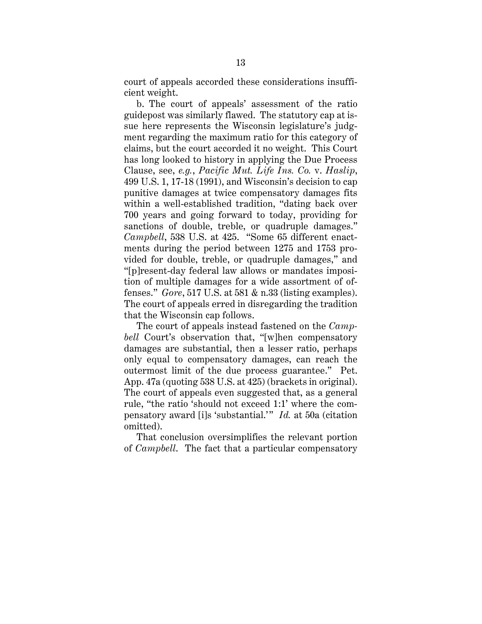court of appeals accorded these considerations insufficient weight.

b. The court of appeals' assessment of the ratio guidepost was similarly flawed. The statutory cap at issue here represents the Wisconsin legislature's judgment regarding the maximum ratio for this category of claims, but the court accorded it no weight. This Court has long looked to history in applying the Due Process Clause, see, *e.g.*, *Pacific Mut. Life Ins. Co.* v. *Haslip*, 499 U.S. 1, 17-18 (1991), and Wisconsin's decision to cap punitive damages at twice compensatory damages fits within a well-established tradition, "dating back over 700 years and going forward to today, providing for sanctions of double, treble, or quadruple damages." *Campbell*, 538 U.S. at 425. "Some 65 different enactments during the period between 1275 and 1753 provided for double, treble, or quadruple damages," and "[p]resent-day federal law allows or mandates imposition of multiple damages for a wide assortment of offenses." *Gore*, 517 U.S. at 581 & n.33 (listing examples). The court of appeals erred in disregarding the tradition that the Wisconsin cap follows.

The court of appeals instead fastened on the *Campbell* Court's observation that, "[w]hen compensatory damages are substantial, then a lesser ratio, perhaps only equal to compensatory damages, can reach the outermost limit of the due process guarantee." Pet. App. 47a (quoting 538 U.S. at 425) (brackets in original). The court of appeals even suggested that, as a general rule, "the ratio 'should not exceed 1:1' where the compensatory award [i]s 'substantial.'" *Id.* at 50a (citation omitted).

That conclusion oversimplifies the relevant portion of *Campbell*. The fact that a particular compensatory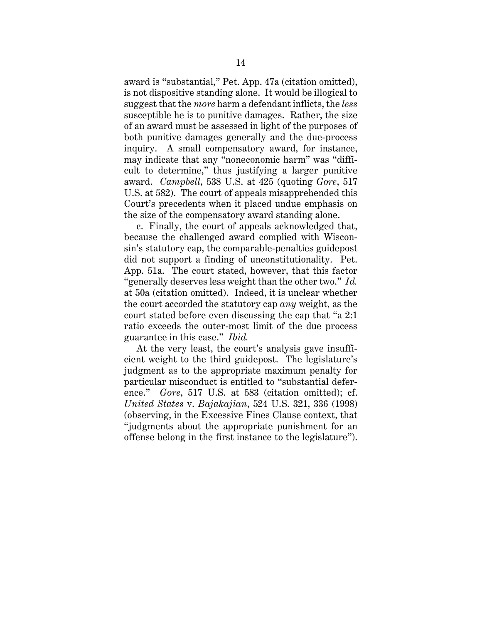award is "substantial," Pet. App. 47a (citation omitted), is not dispositive standing alone. It would be illogical to suggest that the *more* harm a defendant inflicts, the *less*  susceptible he is to punitive damages. Rather, the size of an award must be assessed in light of the purposes of both punitive damages generally and the due-process inquiry. A small compensatory award, for instance, may indicate that any "noneconomic harm" was "difficult to determine," thus justifying a larger punitive award. *Campbell*, 538 U.S. at 425 (quoting *Gore*, 517 U.S. at 582). The court of appeals misapprehended this Court's precedents when it placed undue emphasis on the size of the compensatory award standing alone.

c. Finally, the court of appeals acknowledged that, because the challenged award complied with Wisconsin's statutory cap, the comparable-penalties guidepost did not support a finding of unconstitutionality. Pet. App. 51a. The court stated, however, that this factor "generally deserves less weight than the other two." *Id.* at 50a (citation omitted). Indeed, it is unclear whether the court accorded the statutory cap *any* weight, as the court stated before even discussing the cap that "a 2:1 ratio exceeds the outer-most limit of the due process guarantee in this case." *Ibid.*

At the very least, the court's analysis gave insufficient weight to the third guidepost. The legislature's judgment as to the appropriate maximum penalty for particular misconduct is entitled to "substantial deference." *Gore*, 517 U.S. at 583 (citation omitted); cf. *United States* v. *Bajakajian*, 524 U.S. 321, 336 (1998) (observing, in the Excessive Fines Clause context, that "judgments about the appropriate punishment for an offense belong in the first instance to the legislature").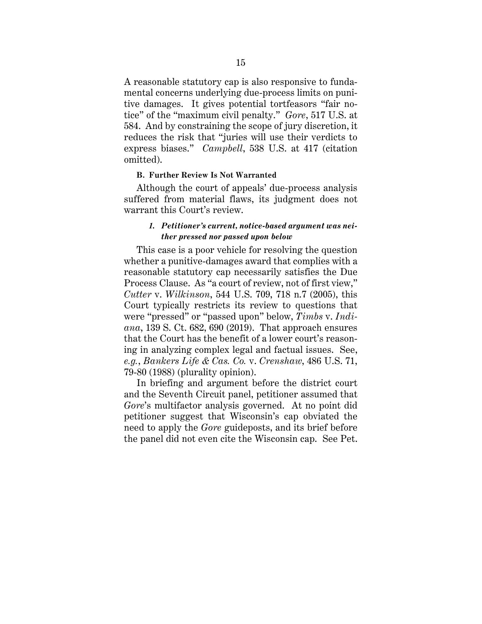A reasonable statutory cap is also responsive to fundamental concerns underlying due-process limits on punitive damages. It gives potential tortfeasors "fair notice" of the "maximum civil penalty." *Gore*, 517 U.S. at 584. And by constraining the scope of jury discretion, it reduces the risk that "juries will use their verdicts to express biases." *Campbell*, 538 U.S. at 417 (citation omitted).

#### **B. Further Review Is Not Warranted**

Although the court of appeals' due-process analysis suffered from material flaws, its judgment does not warrant this Court's review.

## *1. Petitioner's current, notice-based argument was neither pressed nor passed upon below*

This case is a poor vehicle for resolving the question whether a punitive-damages award that complies with a reasonable statutory cap necessarily satisfies the Due Process Clause. As "a court of review, not of first view," *Cutter* v. *Wilkinson*, 544 U.S. 709, 718 n.7 (2005), this Court typically restricts its review to questions that were "pressed" or "passed upon" below, *Timbs* v. *Indiana*, 139 S. Ct. 682, 690 (2019). That approach ensures that the Court has the benefit of a lower court's reasoning in analyzing complex legal and factual issues. See, *e.g.*, *Bankers Life & Cas. Co.* v. *Crenshaw*, 486 U.S. 71, 79-80 (1988) (plurality opinion).

In briefing and argument before the district court and the Seventh Circuit panel, petitioner assumed that *Gore*'s multifactor analysis governed. At no point did petitioner suggest that Wisconsin's cap obviated the need to apply the *Gore* guideposts, and its brief before the panel did not even cite the Wisconsin cap. See Pet.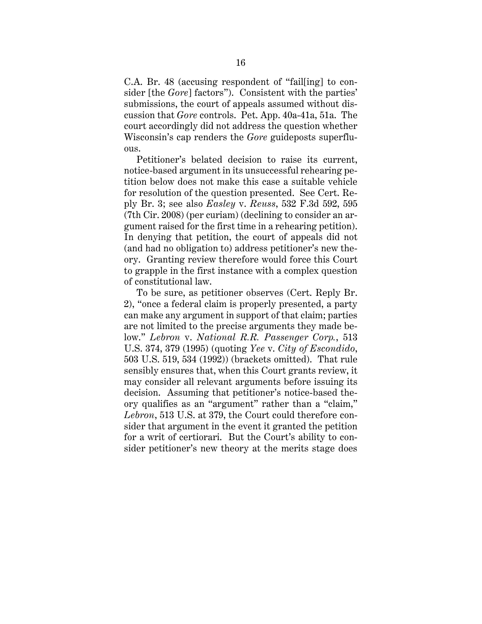C.A. Br. 48 (accusing respondent of "fail[ing] to consider [the *Gore*] factors"). Consistent with the parties' submissions, the court of appeals assumed without discussion that *Gore* controls. Pet. App. 40a-41a, 51a. The court accordingly did not address the question whether Wisconsin's cap renders the *Gore* guideposts superfluous.

Petitioner's belated decision to raise its current, notice-based argument in its unsuccessful rehearing petition below does not make this case a suitable vehicle for resolution of the question presented. See Cert. Reply Br. 3; see also *Easley* v. *Reuss*, 532 F.3d 592, 595 (7th Cir. 2008) (per curiam) (declining to consider an argument raised for the first time in a rehearing petition). In denying that petition, the court of appeals did not (and had no obligation to) address petitioner's new theory. Granting review therefore would force this Court to grapple in the first instance with a complex question of constitutional law.

To be sure, as petitioner observes (Cert. Reply Br. 2), "once a federal claim is properly presented, a party can make any argument in support of that claim; parties are not limited to the precise arguments they made below." *Lebron* v. *National R.R. Passenger Corp.*, 513 U.S. 374, 379 (1995) (quoting *Yee* v. *City of Escondido*, 503 U.S. 519, 534 (1992)) (brackets omitted). That rule sensibly ensures that, when this Court grants review, it may consider all relevant arguments before issuing its decision. Assuming that petitioner's notice-based theory qualifies as an "argument" rather than a "claim," *Lebron*, 513 U.S. at 379, the Court could therefore consider that argument in the event it granted the petition for a writ of certiorari. But the Court's ability to consider petitioner's new theory at the merits stage does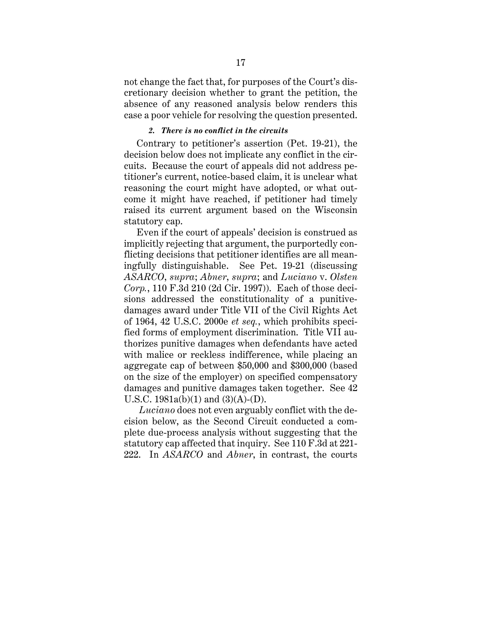not change the fact that, for purposes of the Court's discretionary decision whether to grant the petition, the absence of any reasoned analysis below renders this case a poor vehicle for resolving the question presented.

### *2. There is no conflict in the circuits*

Contrary to petitioner's assertion (Pet. 19-21), the decision below does not implicate any conflict in the circuits. Because the court of appeals did not address petitioner's current, notice-based claim, it is unclear what reasoning the court might have adopted, or what outcome it might have reached, if petitioner had timely raised its current argument based on the Wisconsin statutory cap.

Even if the court of appeals' decision is construed as implicitly rejecting that argument, the purportedly conflicting decisions that petitioner identifies are all meaningfully distinguishable. See Pet. 19-21 (discussing *ASARCO*, *supra*; *Abner*, *supra*; and *Luciano* v. *Olsten Corp.*, 110 F.3d 210 (2d Cir. 1997)). Each of those decisions addressed the constitutionality of a punitivedamages award under Title VII of the Civil Rights Act of 1964, 42 U.S.C. 2000e *et seq.*, which prohibits specified forms of employment discrimination. Title VII authorizes punitive damages when defendants have acted with malice or reckless indifference, while placing an aggregate cap of between \$50,000 and \$300,000 (based on the size of the employer) on specified compensatory damages and punitive damages taken together.See 42 U.S.C.  $1981a(b)(1)$  and  $(3)(A)-(D)$ .

*Luciano* does not even arguably conflict with the decision below, as the Second Circuit conducted a complete due-process analysis without suggesting that the statutory cap affected that inquiry. See 110 F.3d at 221- 222. In *ASARCO* and *Abner*, in contrast, the courts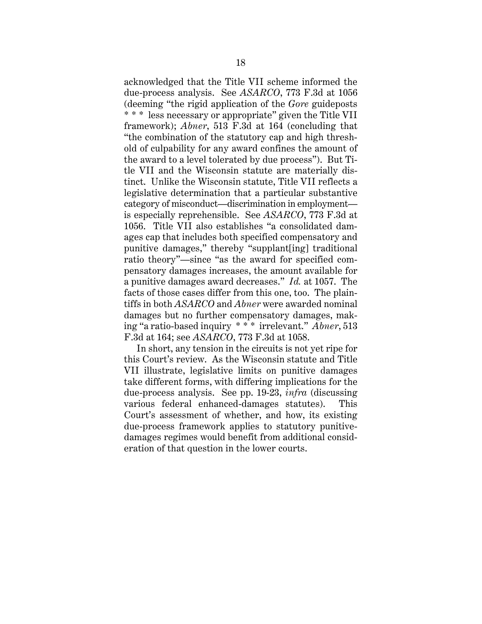acknowledged that the Title VII scheme informed the due-process analysis. See *ASARCO*, 773 F.3d at 1056 (deeming "the rigid application of the *Gore* guideposts \* \* \* less necessary or appropriate" given the Title VII framework); *Abner*, 513 F.3d at 164 (concluding that "the combination of the statutory cap and high threshold of culpability for any award confines the amount of the award to a level tolerated by due process"). But Title VII and the Wisconsin statute are materially distinct. Unlike the Wisconsin statute, Title VII reflects a legislative determination that a particular substantive category of misconduct—discrimination in employment is especially reprehensible. See *ASARCO*, 773 F.3d at 1056. Title VII also establishes "a consolidated damages cap that includes both specified compensatory and punitive damages," thereby "supplant[ing] traditional ratio theory"—since "as the award for specified compensatory damages increases, the amount available for a punitive damages award decreases." *Id.* at 1057. The facts of those cases differ from this one, too. The plaintiffs in both *ASARCO* and *Abner* were awarded nominal damages but no further compensatory damages, making "a ratio-based inquiry \* \* \* irrelevant." *Abner*, 513 F.3d at 164; see *ASARCO*, 773 F.3d at 1058.

In short, any tension in the circuits is not yet ripe for this Court's review. As the Wisconsin statute and Title VII illustrate, legislative limits on punitive damages take different forms, with differing implications for the due-process analysis. See pp. 19-23, *infra* (discussing various federal enhanced-damages statutes). This Court's assessment of whether, and how, its existing due-process framework applies to statutory punitivedamages regimes would benefit from additional consideration of that question in the lower courts.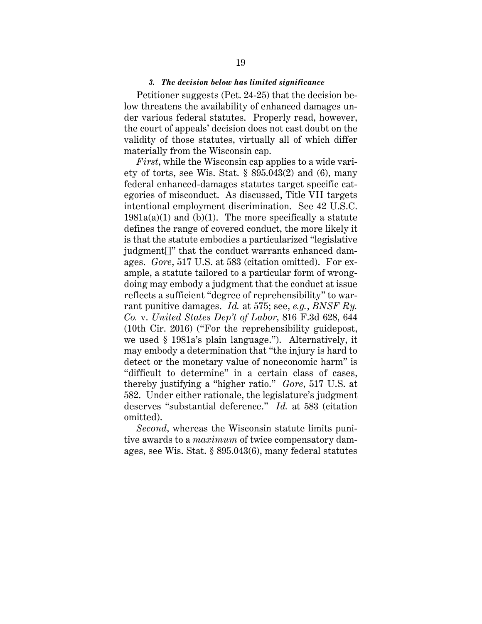#### *3. The decision below has limited significance*

Petitioner suggests (Pet. 24-25) that the decision below threatens the availability of enhanced damages under various federal statutes. Properly read, however, the court of appeals' decision does not cast doubt on the validity of those statutes, virtually all of which differ materially from the Wisconsin cap.

*First*, while the Wisconsin cap applies to a wide variety of torts, see Wis. Stat. § 895.043(2) and (6), many federal enhanced-damages statutes target specific categories of misconduct. As discussed, Title VII targets intentional employment discrimination. See 42 U.S.C.  $1981a(a)(1)$  and (b)(1). The more specifically a statute defines the range of covered conduct, the more likely it is that the statute embodies a particularized "legislative judgment[]" that the conduct warrants enhanced damages. *Gore*, 517 U.S. at 583 (citation omitted). For example, a statute tailored to a particular form of wrongdoing may embody a judgment that the conduct at issue reflects a sufficient "degree of reprehensibility" to warrant punitive damages. *Id.* at 575; see, *e.g.*, *BNSF Ry. Co.* v. *United States Dep't of Labor*, 816 F.3d 628, 644 (10th Cir. 2016) ("For the reprehensibility guidepost, we used § 1981a's plain language."). Alternatively, it may embody a determination that "the injury is hard to detect or the monetary value of noneconomic harm" is "difficult to determine" in a certain class of cases, thereby justifying a "higher ratio." *Gore*, 517 U.S. at 582. Under either rationale, the legislature's judgment deserves "substantial deference." *Id.* at 583 (citation omitted).

*Second*, whereas the Wisconsin statute limits punitive awards to a *maximum* of twice compensatory damages, see Wis. Stat. § 895.043(6), many federal statutes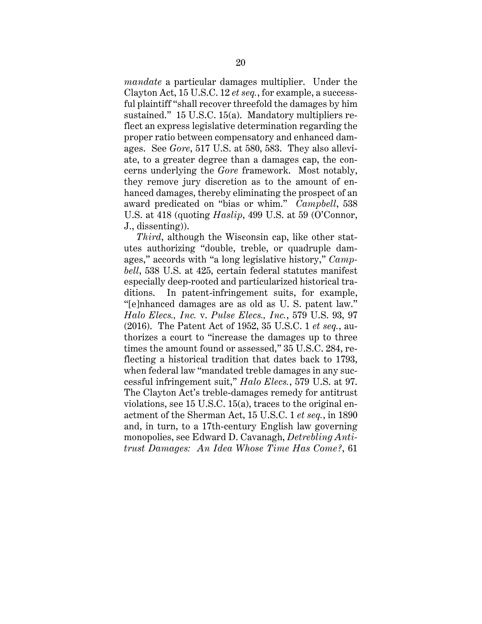*mandate* a particular damages multiplier. Under the Clayton Act, 15 U.S.C. 12 *et seq.*, for example, a successful plaintiff "shall recover threefold the damages by him sustained." 15 U.S.C. 15(a). Mandatory multipliers reflect an express legislative determination regarding the proper ratio between compensatory and enhanced damages. See *Gore*, 517 U.S. at 580, 583. They also alleviate, to a greater degree than a damages cap, the concerns underlying the *Gore* framework. Most notably, they remove jury discretion as to the amount of enhanced damages, thereby eliminating the prospect of an award predicated on "bias or whim." *Campbell*, 538 U.S. at 418 (quoting *Haslip*, 499 U.S. at 59 (O'Connor, J., dissenting)).

*Third*, although the Wisconsin cap, like other statutes authorizing "double, treble, or quadruple damages," accords with "a long legislative history," *Campbell*, 538 U.S. at 425, certain federal statutes manifest especially deep-rooted and particularized historical traditions. In patent-infringement suits, for example, "[e]nhanced damages are as old as U. S. patent law." *Halo Elecs., Inc.* v. *Pulse Elecs., Inc.*, 579 U.S. 93, 97 (2016). The Patent Act of 1952, 35 U.S.C. 1 *et seq.*, authorizes a court to "increase the damages up to three times the amount found or assessed," 35 U.S.C. 284, reflecting a historical tradition that dates back to 1793, when federal law "mandated treble damages in any successful infringement suit," *Halo Elecs.*, 579 U.S. at 97. The Clayton Act's treble-damages remedy for antitrust violations, see 15 U.S.C. 15(a), traces to the original enactment of the Sherman Act, 15 U.S.C. 1 *et seq.*, in 1890 and, in turn, to a 17th-century English law governing monopolies, see Edward D. Cavanagh, *Detrebling Antitrust Damages: An Idea Whose Time Has Come?*, 61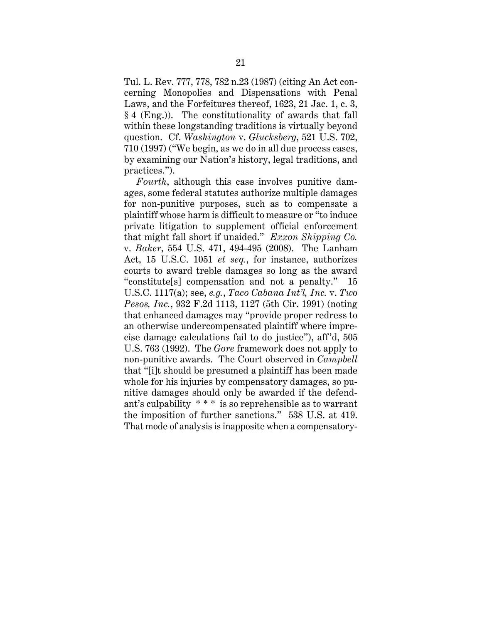Tul. L. Rev. 777, 778, 782 n.23 (1987) (citing An Act concerning Monopolies and Dispensations with Penal Laws, and the Forfeitures thereof, 1623, 21 Jac. 1, c. 3, § 4 (Eng.)). The constitutionality of awards that fall within these longstanding traditions is virtually beyond question. Cf. *Washington* v. *Glucksberg*, 521 U.S. 702, 710 (1997) ("We begin, as we do in all due process cases, by examining our Nation's history, legal traditions, and practices.").

*Fourth*, although this case involves punitive damages, some federal statutes authorize multiple damages for non-punitive purposes, such as to compensate a plaintiff whose harm is difficult to measure or "to induce private litigation to supplement official enforcement that might fall short if unaided." *Exxon Shipping Co.* v. *Baker*, 554 U.S. 471, 494-495 (2008). The Lanham Act, 15 U.S.C. 1051 *et seq.*, for instance, authorizes courts to award treble damages so long as the award "constitute[s] compensation and not a penalty." 15 U.S.C. 1117(a); see, *e.g.*, *Taco Cabana Int'l, Inc.* v. *Two Pesos, Inc.*, 932 F.2d 1113, 1127 (5th Cir. 1991) (noting that enhanced damages may "provide proper redress to an otherwise undercompensated plaintiff where imprecise damage calculations fail to do justice"), aff'd, 505 U.S. 763 (1992). The *Gore* framework does not apply to non-punitive awards. The Court observed in *Campbell* that "[i]t should be presumed a plaintiff has been made whole for his injuries by compensatory damages, so punitive damages should only be awarded if the defendant's culpability \* \* \* is so reprehensible as to warrant the imposition of further sanctions." 538 U.S. at 419. That mode of analysis is inapposite when a compensatory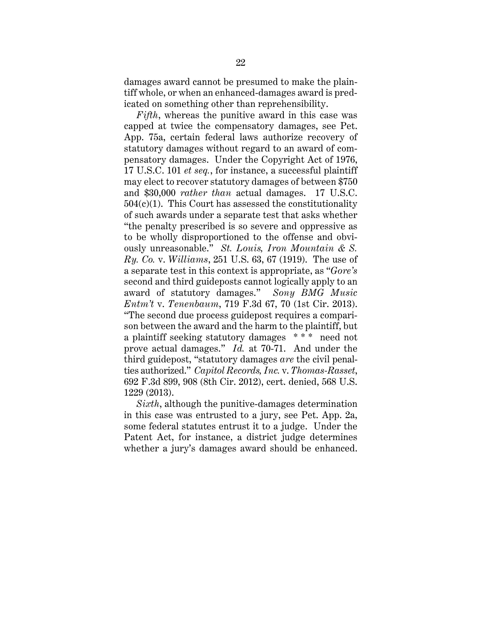damages award cannot be presumed to make the plaintiff whole, or when an enhanced-damages award is predicated on something other than reprehensibility.

*Fifth*, whereas the punitive award in this case was capped at twice the compensatory damages, see Pet. App. 75a, certain federal laws authorize recovery of statutory damages without regard to an award of compensatory damages. Under the Copyright Act of 1976, 17 U.S.C. 101 *et seq.*, for instance, a successful plaintiff may elect to recover statutory damages of between \$750 and \$30,000 *rather than* actual damages. 17 U.S.C.  $504(c)(1)$ . This Court has assessed the constitutionality of such awards under a separate test that asks whether "the penalty prescribed is so severe and oppressive as to be wholly disproportioned to the offense and obviously unreasonable." *St. Louis, Iron Mountain & S. Ry. Co.* v. *Williams*, 251 U.S. 63, 67 (1919). The use of a separate test in this context is appropriate, as "*Gore's* second and third guideposts cannot logically apply to an award of statutory damages." *Sony BMG Music Entm't* v. *Tenenbaum*, 719 F.3d 67, 70 (1st Cir. 2013). "The second due process guidepost requires a comparison between the award and the harm to the plaintiff, but a plaintiff seeking statutory damages \* \* \* need not prove actual damages." *Id.* at 70-71. And under the third guidepost, "statutory damages *are* the civil penalties authorized." *Capitol Records, Inc.* v. *Thomas-Rasset*, 692 F.3d 899, 908 (8th Cir. 2012), cert. denied, 568 U.S. 1229 (2013).

*Sixth*, although the punitive-damages determination in this case was entrusted to a jury, see Pet. App. 2a, some federal statutes entrust it to a judge. Under the Patent Act, for instance, a district judge determines whether a jury's damages award should be enhanced.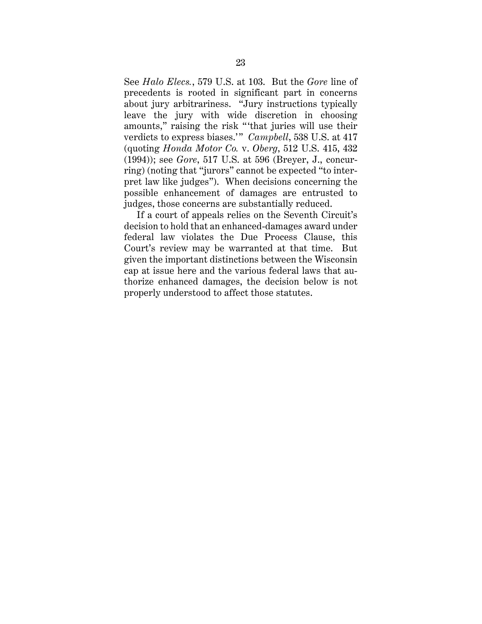See *Halo Elecs.*, 579 U.S. at 103. But the *Gore* line of precedents is rooted in significant part in concerns about jury arbitrariness. "Jury instructions typically leave the jury with wide discretion in choosing amounts," raising the risk " 'that juries will use their verdicts to express biases." *Campbell*, 538 U.S. at 417 (quoting *Honda Motor Co.* v. *Oberg*, 512 U.S. 415, 432 (1994)); see *Gore*, 517 U.S. at 596 (Breyer, J., concurring) (noting that "jurors" cannot be expected "to interpret law like judges"). When decisions concerning the possible enhancement of damages are entrusted to judges, those concerns are substantially reduced.

If a court of appeals relies on the Seventh Circuit's decision to hold that an enhanced-damages award under federal law violates the Due Process Clause, this Court's review may be warranted at that time. But given the important distinctions between the Wisconsin cap at issue here and the various federal laws that authorize enhanced damages, the decision below is not properly understood to affect those statutes.